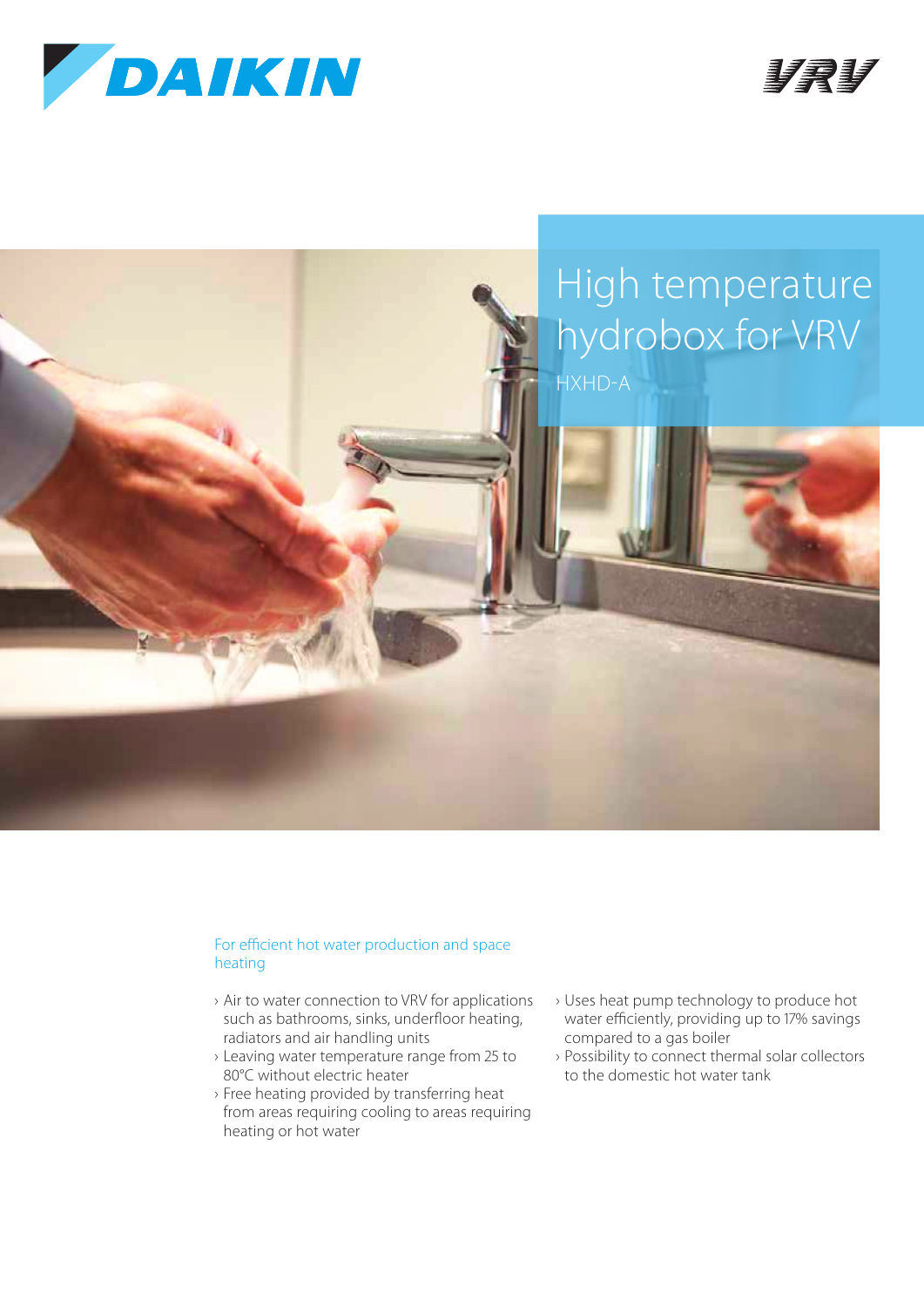





## For efficient hot water production and space heating

- › Air to water connection to VRV for applications such as bathrooms, sinks, underfloor heating, radiators and air handling units
- › Leaving water temperature range from 25 to 80°C without electric heater
- › Free heating provided by transferring heat from areas requiring cooling to areas requiring heating or hot water
- › Uses heat pump technology to produce hot water efficiently, providing up to 17% savings compared to a gas boiler
- › Possibility to connect thermal solar collectors to the domestic hot water tank